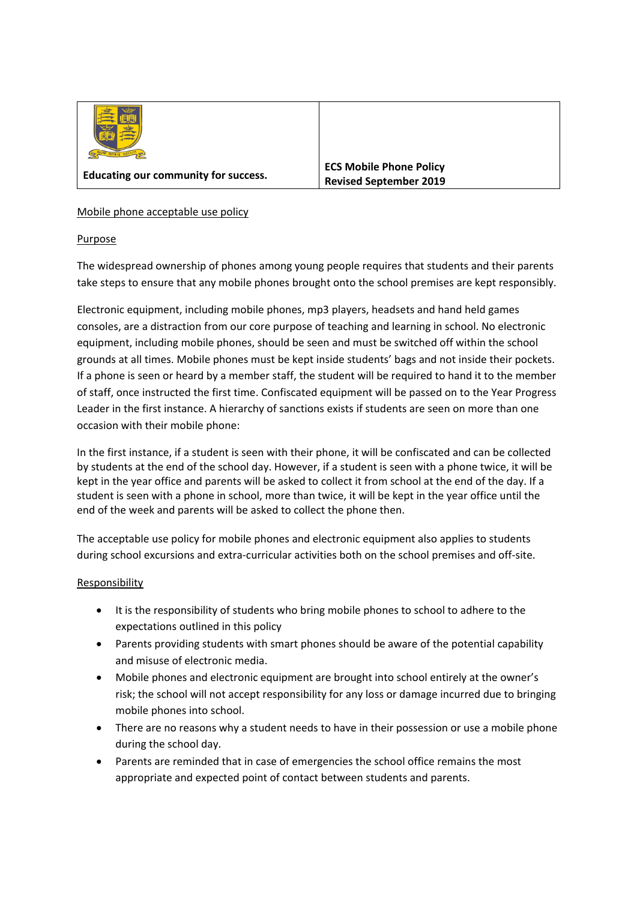

## Mobile phone acceptable use policy

## Purpose

The widespread ownership of phones among young people requires that students and their parents take steps to ensure that any mobile phones brought onto the school premises are kept responsibly.

Electronic equipment, including mobile phones, mp3 players, headsets and hand held games consoles, are a distraction from our core purpose of teaching and learning in school. No electronic equipment, including mobile phones, should be seen and must be switched off within the school grounds at all times. Mobile phones must be kept inside students' bags and not inside their pockets. If a phone is seen or heard by a member staff, the student will be required to hand it to the member of staff, once instructed the first time. Confiscated equipment will be passed on to the Year Progress Leader in the first instance. A hierarchy of sanctions exists if students are seen on more than one occasion with their mobile phone:

In the first instance, if a student is seen with their phone, it will be confiscated and can be collected by students at the end of the school day. However, if a student is seen with a phone twice, it will be kept in the year office and parents will be asked to collect it from school at the end of the day. If a student is seen with a phone in school, more than twice, it will be kept in the year office until the end of the week and parents will be asked to collect the phone then.

The acceptable use policy for mobile phones and electronic equipment also applies to students during school excursions and extra-curricular activities both on the school premises and off-site.

## Responsibility

- It is the responsibility of students who bring mobile phones to school to adhere to the expectations outlined in this policy
- Parents providing students with smart phones should be aware of the potential capability and misuse of electronic media.
- Mobile phones and electronic equipment are brought into school entirely at the owner's risk; the school will not accept responsibility for any loss or damage incurred due to bringing mobile phones into school.
- There are no reasons why a student needs to have in their possession or use a mobile phone during the school day.
- Parents are reminded that in case of emergencies the school office remains the most appropriate and expected point of contact between students and parents.